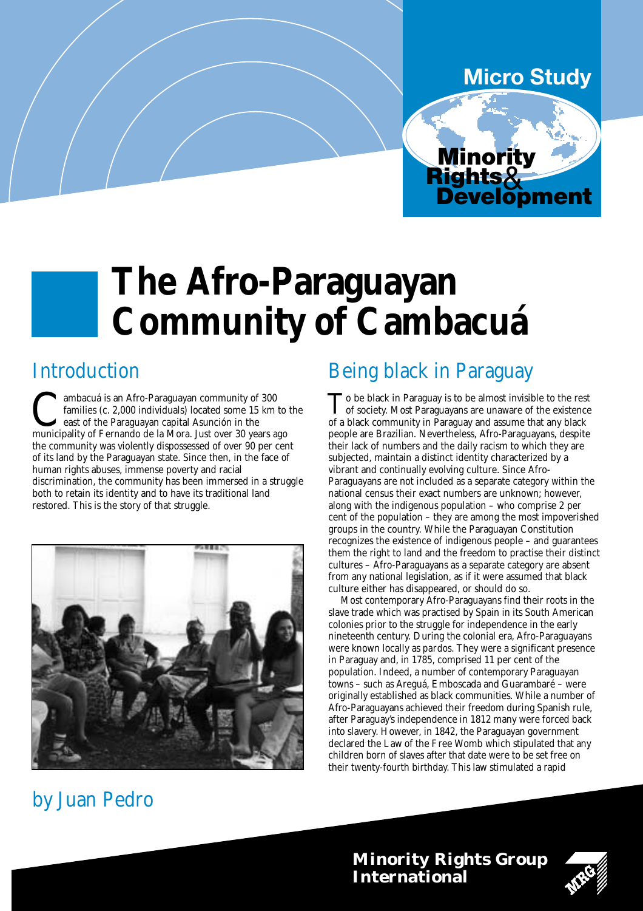#### **Micro Study**

Minority

Rights& Development

# **The Afro-Paraguayan Community of Cambacuá**

### Introduction

**C**ambacuá is an Afro-Paraguayan community of 300 families (c. 2,000 individuals) located some 15 km to east of the Paraguayan capital Asunción in the municipality of Fernando de la Mora. Just over 30 years ago families (c. 2,000 individuals) located some 15 km to the east of the Paraguayan capital Asunción in the the community was violently dispossessed of over 90 per cent of its land by the Paraguayan state. Since then, in the face of human rights abuses, immense poverty and racial discrimination, the community has been immersed in a struggle both to retain its identity and to have its traditional land restored. This is the story of that struggle.



## by Juan Pedro

#### Being black in Paraguay

To be black in Paraguay is to be almost invisible to the rest<br>of society. Most Paraguayans are unaware of the existence<br>of a black community in Paraguay and agguns that any black of a black community in Paraguay and assume that any black people are Brazilian. Nevertheless, Afro-Paraguayans, despite their lack of numbers and the daily racism to which they are subjected, maintain a distinct identity characterized by a vibrant and continually evolving culture. Since Afro-Paraguayans are not included as a separate category within the national census their exact numbers are unknown; however, along with the indigenous population – who comprise 2 per cent of the population – they are among the most impoverished groups in the country. While the Paraguayan Constitution recognizes the existence of indigenous people – and guarantees them the right to land and the freedom to practise their distinct cultures – Afro-Paraguayans as a separate category are absent from any national legislation, as if it were assumed that black culture either has disappeared, or should do so.

Most contemporary Afro-Paraguayans find their roots in the slave trade which was practised by Spain in its South American colonies prior to the struggle for independence in the early nineteenth century. During the colonial era, Afro-Paraguayans were known locally as *pardos*. They were a significant presence in Paraguay and, in 1785, comprised 11 per cent of the population. Indeed, a number of contemporary Paraguayan towns – such as Areguá, Emboscada and Guarambaré – were originally established as black communities. While a number of Afro-Paraguayans achieved their freedom during Spanish rule, after Paraguay's independence in 1812 many were forced back into slavery. However, in 1842, the Paraguayan government declared the Law of the Free Womb which stipulated that any children born of slaves after that date were to be set free on their twenty-fourth birthday. This law stimulated a rapid

**Minority Rights Group International**

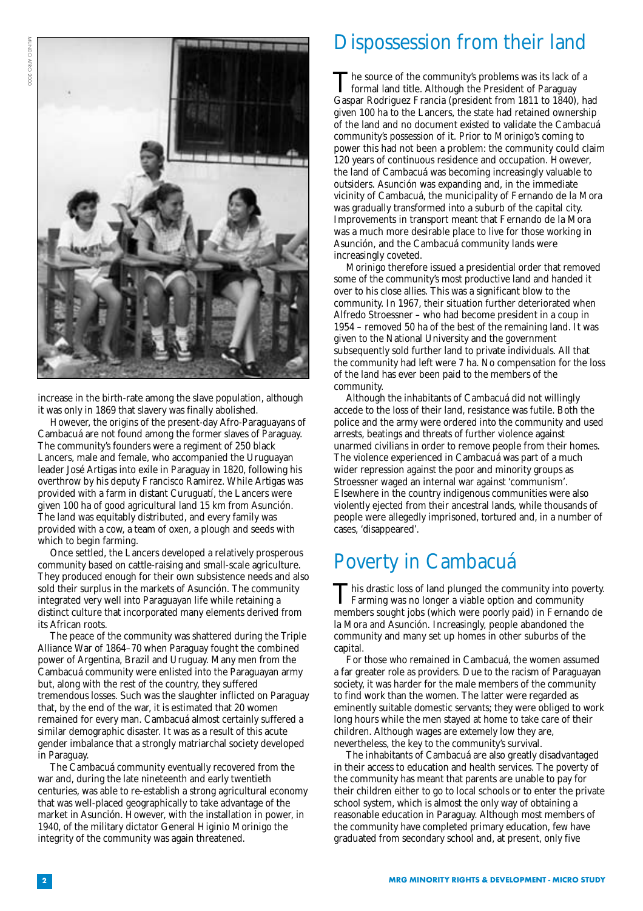

increase in the birth-rate among the slave population, although it was only in 1869 that slavery was finally abolished.

However, the origins of the present-day Afro-Paraguayans of Cambacuá are not found among the former slaves of Paraguay. The community's founders were a regiment of 250 black Lancers, male and female, who accompanied the Uruguayan leader José Artigas into exile in Paraguay in 1820, following his overthrow by his deputy Francisco Ramirez. While Artigas was provided with a farm in distant Curuguatí, the Lancers were given 100 ha of good agricultural land 15 km from Asunción. The land was equitably distributed, and every family was provided with a cow, a team of oxen, a plough and seeds with which to begin farming.

Once settled, the Lancers developed a relatively prosperous community based on cattle-raising and small-scale agriculture. They produced enough for their own subsistence needs and also sold their surplus in the markets of Asunción. The community integrated very well into Paraguayan life while retaining a distinct culture that incorporated many elements derived from its African roots.

The peace of the community was shattered during the Triple Alliance War of 1864–70 when Paraguay fought the combined power of Argentina, Brazil and Uruguay. Many men from the Cambacuá community were enlisted into the Paraguayan army but, along with the rest of the country, they suffered tremendous losses. Such was the slaughter inflicted on Paraguay that, by the end of the war, it is estimated that 20 women remained for every man. Cambacuá almost certainly suffered a similar demographic disaster. It was as a result of this acute gender imbalance that a strongly matriarchal society developed in Paraguay.

The Cambacuá community eventually recovered from the war and, during the late nineteenth and early twentieth centuries, was able to re-establish a strong agricultural economy that was well-placed geographically to take advantage of the market in Asunción. However, with the installation in power, in 1940, of the military dictator General Higinio Morinigo the integrity of the community was again threatened.

#### Dispossession from their land

The source of the community's problems was its lack of a<br>formal land title. Although the President of Paraguay<br>formal land title. Although the President from 1911 to 1940. Gaspar Rodriguez Francia (president from 1811 to 1840), had given 100 ha to the Lancers, the state had retained ownership of the land and no document existed to validate the Cambacuá community's possession of it. Prior to Morinigo's coming to power this had not been a problem: the community could claim 120 years of continuous residence and occupation. However, the land of Cambacuá was becoming increasingly valuable to outsiders. Asunción was expanding and, in the immediate vicinity of Cambacuá, the municipality of Fernando de la Mora was gradually transformed into a suburb of the capital city. Improvements in transport meant that Fernando de la Mora was a much more desirable place to live for those working in Asunción, and the Cambacuá community lands were increasingly coveted.

Morinigo therefore issued a presidential order that removed some of the community's most productive land and handed it over to his close allies. This was a significant blow to the community. In 1967, their situation further deteriorated when Alfredo Stroessner – who had become president in a coup in 1954 – removed 50 ha of the best of the remaining land. It was given to the National University and the government subsequently sold further land to private individuals. All that the community had left were 7 ha. No compensation for the loss of the land has ever been paid to the members of the community.

Although the inhabitants of Cambacuá did not willingly accede to the loss of their land, resistance was futile. Both the police and the army were ordered into the community and used arrests, beatings and threats of further violence against unarmed civilians in order to remove people from their homes. The violence experienced in Cambacuá was part of a much wider repression against the poor and minority groups as Stroessner waged an internal war against 'communism'. Elsewhere in the country indigenous communities were also violently ejected from their ancestral lands, while thousands of people were allegedly imprisoned, tortured and, in a number of cases, 'disappeared'.

### Poverty in Cambacuá

This drastic loss of land plunged the community into poverty. Farming was no longer a viable option and community members sought jobs (which were poorly paid) in Fernando de la Mora and Asunción. Increasingly, people abandoned the community and many set up homes in other suburbs of the capital.

For those who remained in Cambacuá, the women assumed a far greater role as providers. Due to the racism of Paraguayan society, it was harder for the male members of the community to find work than the women. The latter were regarded as eminently suitable domestic servants; they were obliged to work long hours while the men stayed at home to take care of their children. Although wages are extemely low they are, nevertheless, the key to the community's survival.

The inhabitants of Cambacuá are also greatly disadvantaged in their access to education and health services. The poverty of the community has meant that parents are unable to pay for their children either to go to local schools or to enter the private school system, which is almost the only way of obtaining a reasonable education in Paraguay. Although most members of the community have completed primary education, few have graduated from secondary school and, at present, only five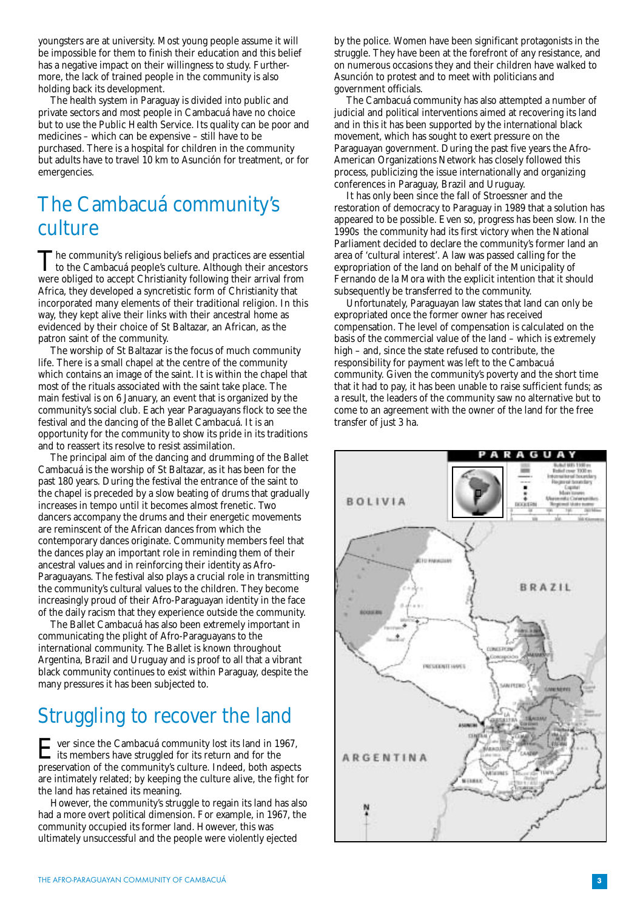youngsters are at university. Most young people assume it will be impossible for them to finish their education and this belief has a negative impact on their willingness to study. Furthermore, the lack of trained people in the community is also holding back its development.

The health system in Paraguay is divided into public and private sectors and most people in Cambacuá have no choice but to use the Public Health Service. Its quality can be poor and medicines – which can be expensive – still have to be purchased. There is a hospital for children in the community but adults have to travel 10 km to Asunción for treatment, or for emergencies.

### The Cambacuá community's culture

The community's religious beliefs and practices are essential<br>to the Cambacuá people's culture. Although their ancestors<br>were obliged to conset Christianity following their arrival from were obliged to accept Christianity following their arrival from Africa, they developed a syncretistic form of Christianity that incorporated many elements of their traditional religion. In this way, they kept alive their links with their ancestral home as evidenced by their choice of St Baltazar, an African, as the patron saint of the community.

The worship of St Baltazar is the focus of much community life. There is a small chapel at the centre of the community which contains an image of the saint. It is within the chapel that most of the rituals associated with the saint take place. The main festival is on 6 January, an event that is organized by the community's social club. Each year Paraguayans flock to see the festival and the dancing of the Ballet Cambacuá. It is an opportunity for the community to show its pride in its traditions and to reassert its resolve to resist assimilation.

The principal aim of the dancing and drumming of the Ballet Cambacuá is the worship of St Baltazar, as it has been for the past 180 years. During the festival the entrance of the saint to the chapel is preceded by a slow beating of drums that gradually increases in tempo until it becomes almost frenetic. Two dancers accompany the drums and their energetic movements are reminscent of the African dances from which the contemporary dances originate. Community members feel that the dances play an important role in reminding them of their ancestral values and in reinforcing their identity as Afro-Paraguayans. The festival also plays a crucial role in transmitting the community's cultural values to the children. They become increasingly proud of their Afro-Paraguayan identity in the face of the daily racism that they experience outside the community.

The Ballet Cambacuá has also been extremely important in communicating the plight of Afro-Paraguayans to the international community. The Ballet is known throughout Argentina, Brazil and Uruguay and is proof to all that a vibrant black community continues to exist within Paraguay, despite the many pressures it has been subjected to.

### Struggling to recover the land

F ver since the Cambacuá community lost its land in 1967, its members have struggled for its return and for the preservation of the community's culture. Indeed, both aspects are intimately related; by keeping the culture alive, the fight for the land has retained its meaning.

However, the community's struggle to regain its land has also had a more overt political dimension. For example, in 1967, the community occupied its former land. However, this was ultimately unsuccessful and the people were violently ejected

by the police. Women have been significant protagonists in the struggle. They have been at the forefront of any resistance, and on numerous occasions they and their children have walked to Asunción to protest and to meet with politicians and government officials.

The Cambacuá community has also attempted a number of judicial and political interventions aimed at recovering its land and in this it has been supported by the international black movement, which has sought to exert pressure on the Paraguayan government. During the past five years the Afro-American Organizations Network has closely followed this process, publicizing the issue internationally and organizing conferences in Paraguay, Brazil and Uruguay.

It has only been since the fall of Stroessner and the restoration of democracy to Paraguay in 1989 that a solution has appeared to be possible. Even so, progress has been slow. In the 1990s the community had its first victory when the National Parliament decided to declare the community's former land an area of 'cultural interest'. A law was passed calling for the expropriation of the land on behalf of the Municipality of Fernando de la Mora with the explicit intention that it should subsequently be transferred to the community.

Unfortunately, Paraguayan law states that land can only be expropriated once the former owner has received compensation. The level of compensation is calculated on the basis of the commercial value of the land – which is extremely high – and, since the state refused to contribute, the responsibility for payment was left to the Cambacuá community. Given the community's poverty and the short time that it had to pay, it has been unable to raise sufficient funds; as a result, the leaders of the community saw no alternative but to come to an agreement with the owner of the land for the free transfer of just 3 ha.